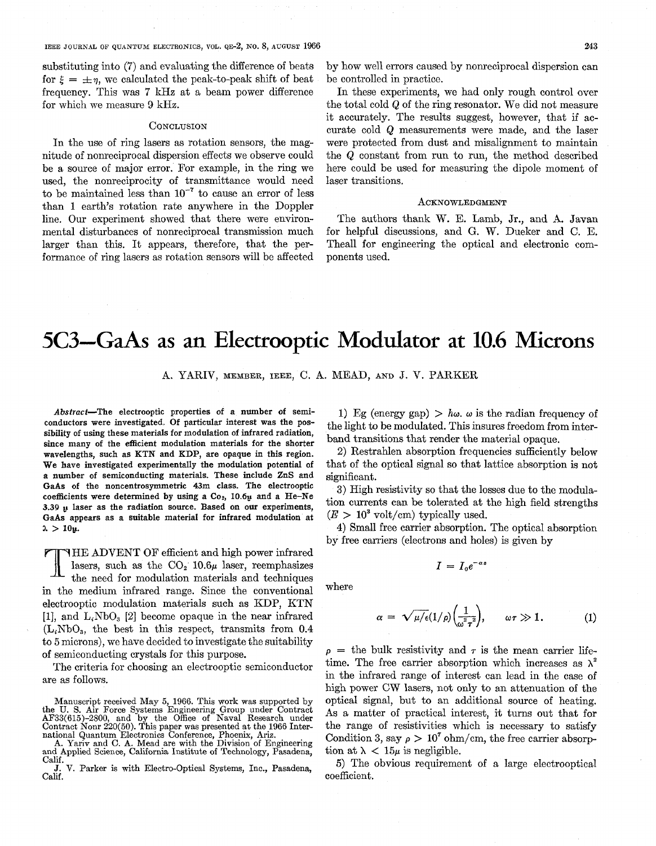substituting into (7) and evaluating the difference of beats for  $\xi = \pm \eta$ , we calculated the peak-to-peak shift of beat frequency. This was 7 kHz at a beam power difference for which we measure *3* kHz.

### **CONCLUSION**

In the use of ring lasers as rotation sensors, the magnitude of nonreciprocal dispersion effects we observe could be a source of major error. For example, in the ring we used, the nonreciprocity of transmittance would need to be maintained less than  $10^{-7}$  to cause an error of less than 1 earth's rotation rate anywhere in the Doppler line. Our experiment showed that there were environmental disturbances of nonreciprocal transmission much larger than this. It appears, therefore, that the performance of ring lasers as rotation sensors will be affected

by how well errors caused by nonreciprocal dispersion can be controlled in practice.

In these experiments, we had only rough control over the total cold Q of the ring resonator. We did not measure it accurately. The results suggest, however, that if accurate cold *Q* measurements were made, and the laser were protected from dust and misalignment to maintain the Q constant from run to run, the method described here could be used for measuring the dipole moment of laser transitions.

## ACKNOWLEDGMENT

The authors thank W. E. Lamb, Jr., and **A.** Javan for helpful discussions, and G. W. Dueker and C. E. Theall for engineering the optical and electronic components used.

# **5C3-GaAs** as an Electrooptic Modulator at **10.6** Microns

A. YARIV, MEMBER, IEEE, C. A. MEAD, AND J. V. PARKER

Abstract-The electrooptic properties of a number of semiconductors were investigated. Of particular interest was the possibility of using these materials for modulation **of** infrared radiation, since many **of** the efficient modulation materials for the shorter wavelengths, such as KTN and **KDP,** are opaque in **this** region. We have investigated experimentally the modulation potential **of**  a number **of** semiconducting materials. These include **ZnS** and **GaAs of** the noncentrosymmetric **43m** class. The electrooptic coefficients were determined by using a  $Co<sub>2</sub>$ , 10.6 $\mu$  and a He-Ne **3.39** laser as the radiation source. Based on **our** experiments, **GaAs** appears as a suitable material for infrared modulation at  $\lambda > 10$ *u*.

HE ADVENT OF efficient and high power infrared lasers, such as the  $CO<sub>2</sub>$  10.6 $\mu$  laser, reemphasizes the need for modulation materials and techniques in the medium infrared range. Since the conventional electrooptic modulation materials such as KDP, KTN [l], and L,NbO, *[2]* become opaque in the near infrared  $(L_iNbO_3)$ , the best in this respect, transmits from 0.4 to **5** microns), we have decided to investigate the suitability of semiconducting crystals for this purpose.

The criteria for choosing an electrooptic semiconductor are as follows.

Manuscript received May 5, 1966. This work was supported by<br>the U.S. Air Force Systems Engineering Group under Contract<br>AF33(615)-2800, and by the Office of Naval Research under<br>Contract Nonr 220(50). This paper was presen

Calif.

Calif. **J.** V. Parker is with Electro-Optical Systems, Inc., Pasadena,

1) Eg (energy gap)  $> h\omega$ .  $\omega$  is the radian frequency of the light to be modulated. This insures freedom from interband transitions that render the material opaque.

2) Restrahlen absorption frequencies sufficiently below that of the optical signal so that lattice absorption is not significant.

**3)** High resistivity so that the losses due to the modulation currents can be tolerated at the high field strengths  $(E > 10^3 \text{ volt/cm})$  typically used.

**4)** Small free carrier absorption. The optical absorption by free carriers (electrons and holes) is given by

 $I= I_0 e^{-\alpha z}$ 

where

$$
\alpha = \sqrt{\mu/\epsilon} (1/\rho) \left(\frac{1}{\omega^2 \tau^2}\right), \qquad \omega \tau \gg 1. \tag{1}
$$

 $p =$  the bulk resistivity and  $\tau$  is the mean carrier lifetime. The free carrier absorption which increases as  $\lambda^2$ in the infrared range of interest can lead in the case of high power CW lasers, not only to an attenuation of the optical signal, but to an additional source of heating. As a matter of practical interest, it turns out that for the range of resistivities which is necessary to satisfy Condition 3, say  $\rho > 10^7$  ohm/cm, the free carrier absorption at  $\lambda$  < 15 $\mu$  is negligible.

*5)* The obvious requirement of a large electrooptical coefficient.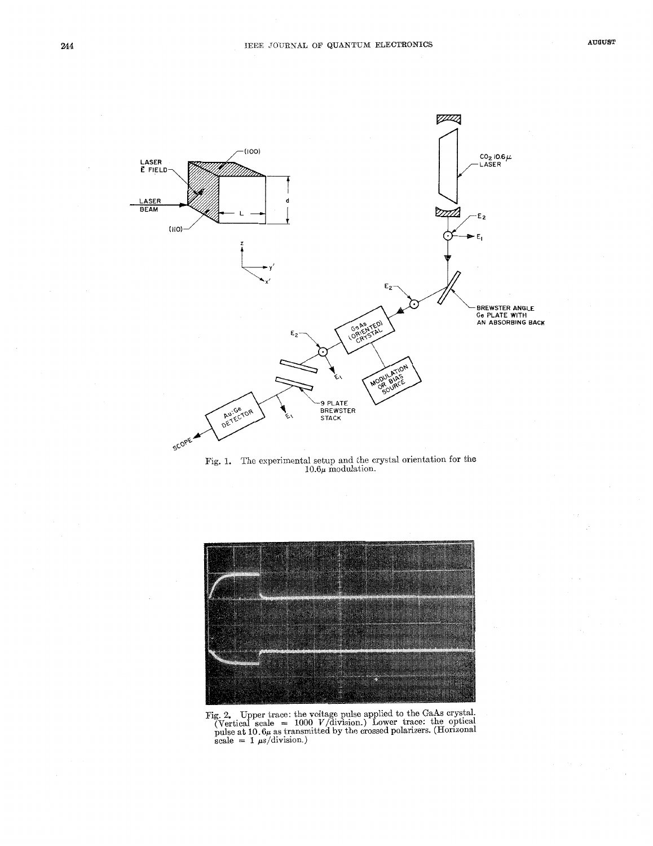

Fig. 1. The experimental setup and the crystal orientation for the 10.6 $\mu$  modulation.



Fig. *2.* Upper trace: the voltage pulse applied to the GaAs crystal.  $\sum_{\text{e}}$   $\sum_{\text{e}}$  as transmitted by the crossed polarizers. (Horizonal pulse at 10.6 $\mu$  as transmitted by the crossed polarizers. (Horizonal scale =  $1 \mu s$ /division.)